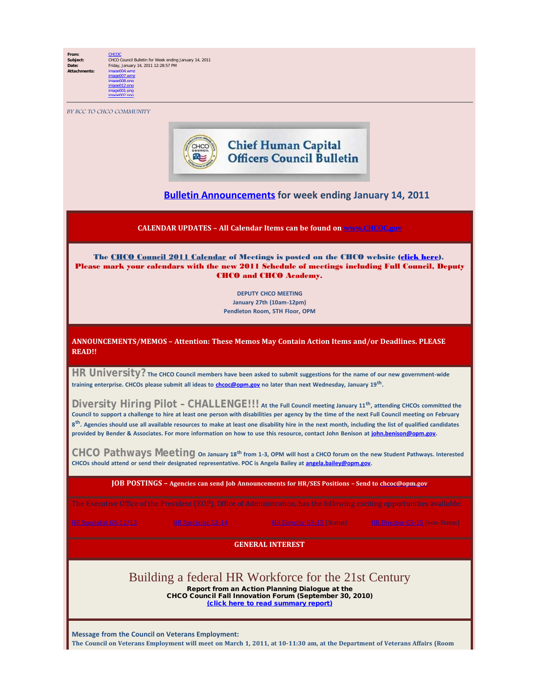**From:** [CHCOC](mailto:/O=OPM/OU=EXCHANGE ADMINISTRATIVE GROUP (FYDIBOHF23SPDLT)/CN=RECIPIENTS/CN=CHCOC) **Subject:** CHCO Council Bulletin for Week ending January 14, 2011 **Date:** Friday, January 14, 2011 12:28:57 PM<br>**Attachments:** image004.wmz **Attachments:** image004.wmz image007.wmz image008.png image012.png image001.png

BY BCC TO CHCO COMMUNITY

image002.png



## **[Bulletin Announcements](http://chcoc.gov/Transmittals/Index.aspx) for week ending January 14, 2011**

**CALENDAR UPDATES – All Calendar Items can be found on [www.CHCOC.gov](http://www.chcoc.gov/)**

The CHCO Council 2011 Calendar of Meetings is posted on the CHCO website [\(click here](http://www.chcoc.gov/Documents/Attachments/Document69.pdf)). Please mark your calendars with the new 2011 Schedule of meetings including Full Council, Deputy CHCO and CHCO Academy.

> **DEPUTY CHCO MEETING January 27th (10am-12pm) Pendleton Room, 5TH Floor, OPM**

**ANNOUNCEMENTS/MEMOS – Attention: These Memos May Contain Action Items and/or Deadlines. PLEASE READ!!**

**HR University? The CHCO Council members have been asked to submit suggestions for the name of our new government-wide training enterprise. CHCOs please submit all ideas to [chcoc@opm.gov](mailto:chcoc@opm.gov) no later than next Wednesday, January 19th.**

**Diversity Hiring Pilot – CHALLENGE!!! At the Full Council meeting January 11th, attending CHCOs committed the Council to support a challenge to hire at least one person with disabilities per agency by the time of the next Full Council meeting on February 8th. Agencies should use all available resources to make at least one disability hire in the next month, including the list of qualified candidates provided by Bender & Associates. For more information on how to use this resource, contact John Benison at [john.benison@opm.gov](mailto:john.benison@opm.gov).**

**CHCO Pathways Meeting On January 18th from 1-3, OPM will host a CHCO forum on the new Student Pathways. Interested CHCOs should attend or send their designated representative. POC is Angela Bailey at [angela.bailey@opm.gov.](mailto:angela.bailey@opm.gov)**

**JOB POSTINGS – Agencies can send Job Announcements for HR/SES Positions – Send to [chcoc@opm.gov](mailto:chcoc@opm.gov)**

**GENERAL INTEREST**

## Building a federal HR Workforce for the 21st Century

Report from an Action Planning Dialogue at the CHCO Council Fall Innovation Forum (September 30, 2010)

[\(click here to read summary report\)](http://www.chcoc.gov/documents/DisplayDocument.aspx?PublicDocID=249)

**Message from the Council on Veterans Employment:** The Council on Veterans Employment will meet on March 1, 2011, at 10-11:30 am, at the Department of Veterans Affairs (Room